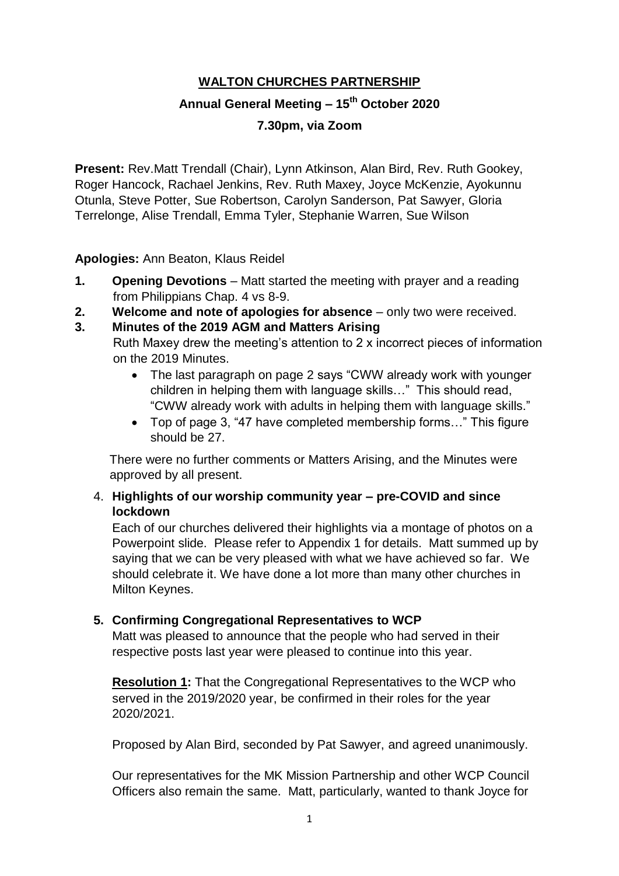# **WALTON CHURCHES PARTNERSHIP**

# **Annual General Meeting – 15th October 2020**

### **7.30pm, via Zoom**

**Present:** Rev.Matt Trendall (Chair), Lynn Atkinson, Alan Bird, Rev. Ruth Gookey, Roger Hancock, Rachael Jenkins, Rev. Ruth Maxey, Joyce McKenzie, Ayokunnu Otunla, Steve Potter, Sue Robertson, Carolyn Sanderson, Pat Sawyer, Gloria Terrelonge, Alise Trendall, Emma Tyler, Stephanie Warren, Sue Wilson

**Apologies:** Ann Beaton, Klaus Reidel

- **1. Opening Devotions** Matt started the meeting with prayer and a reading from Philippians Chap. 4 vs 8-9.
- **2. Welcome and note of apologies for absence** only two were received.
- **3. Minutes of the 2019 AGM and Matters Arising** Ruth Maxey drew the meeting's attention to 2 x incorrect pieces of information on the 2019 Minutes.
	- The last paragraph on page 2 says "CWW already work with younger children in helping them with language skills…" This should read, "CWW already work with adults in helping them with language skills."
	- Top of page 3, "47 have completed membership forms…" This figure should be 27.

 There were no further comments or Matters Arising, and the Minutes were approved by all present.

### 4. **Highlights of our worship community year – pre-COVID and since lockdown**

Each of our churches delivered their highlights via a montage of photos on a Powerpoint slide. Please refer to Appendix 1 for details. Matt summed up by saying that we can be very pleased with what we have achieved so far. We should celebrate it. We have done a lot more than many other churches in Milton Keynes.

# **5. Confirming Congregational Representatives to WCP**

Matt was pleased to announce that the people who had served in their respective posts last year were pleased to continue into this year.

**Resolution 1:** That the Congregational Representatives to the WCP who served in the 2019/2020 year, be confirmed in their roles for the year 2020/2021.

Proposed by Alan Bird, seconded by Pat Sawyer, and agreed unanimously.

Our representatives for the MK Mission Partnership and other WCP Council Officers also remain the same. Matt, particularly, wanted to thank Joyce for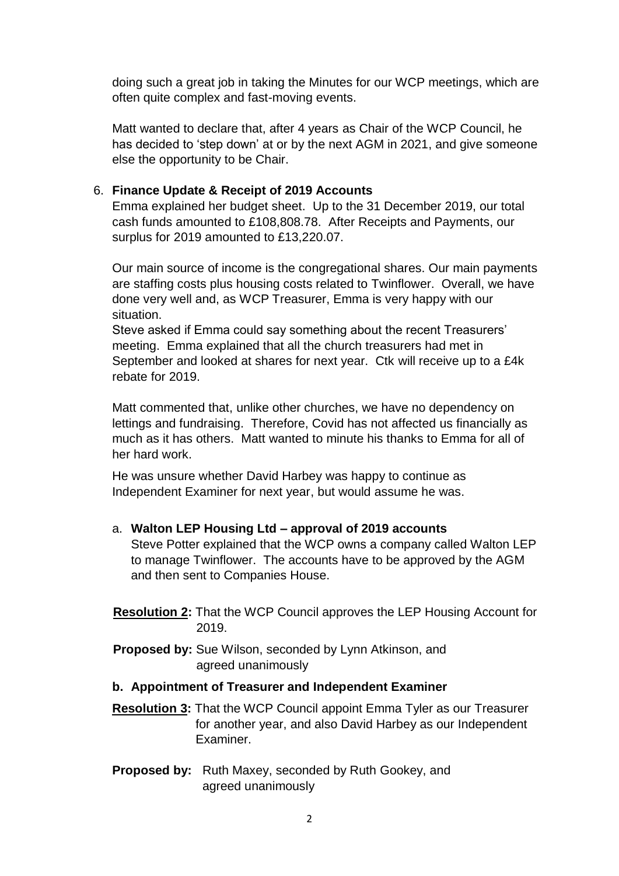doing such a great job in taking the Minutes for our WCP meetings, which are often quite complex and fast-moving events.

Matt wanted to declare that, after 4 years as Chair of the WCP Council, he has decided to 'step down' at or by the next AGM in 2021, and give someone else the opportunity to be Chair.

### 6. **Finance Update & Receipt of 2019 Accounts**

Emma explained her budget sheet. Up to the 31 December 2019, our total cash funds amounted to £108,808.78. After Receipts and Payments, our surplus for 2019 amounted to £13,220.07.

Our main source of income is the congregational shares. Our main payments are staffing costs plus housing costs related to Twinflower. Overall, we have done very well and, as WCP Treasurer, Emma is very happy with our situation.

Steve asked if Emma could say something about the recent Treasurers' meeting. Emma explained that all the church treasurers had met in September and looked at shares for next year. Ctk will receive up to a £4k rebate for 2019.

Matt commented that, unlike other churches, we have no dependency on lettings and fundraising. Therefore, Covid has not affected us financially as much as it has others. Matt wanted to minute his thanks to Emma for all of her hard work.

He was unsure whether David Harbey was happy to continue as Independent Examiner for next year, but would assume he was.

#### a. **Walton LEP Housing Ltd – approval of 2019 accounts**

Steve Potter explained that the WCP owns a company called Walton LEP to manage Twinflower. The accounts have to be approved by the AGM and then sent to Companies House.

 **Resolution 2:** That the WCP Council approves the LEP Housing Account for 2019.

- **Proposed by:** Sue Wilson, seconded by Lynn Atkinson, and agreed unanimously
- **b. Appointment of Treasurer and Independent Examiner**
- **Resolution 3:** That the WCP Council appoint Emma Tyler as our Treasurer for another year, and also David Harbey as our Independent Examiner.
- **Proposed by:** Ruth Maxey, seconded by Ruth Gookey, and agreed unanimously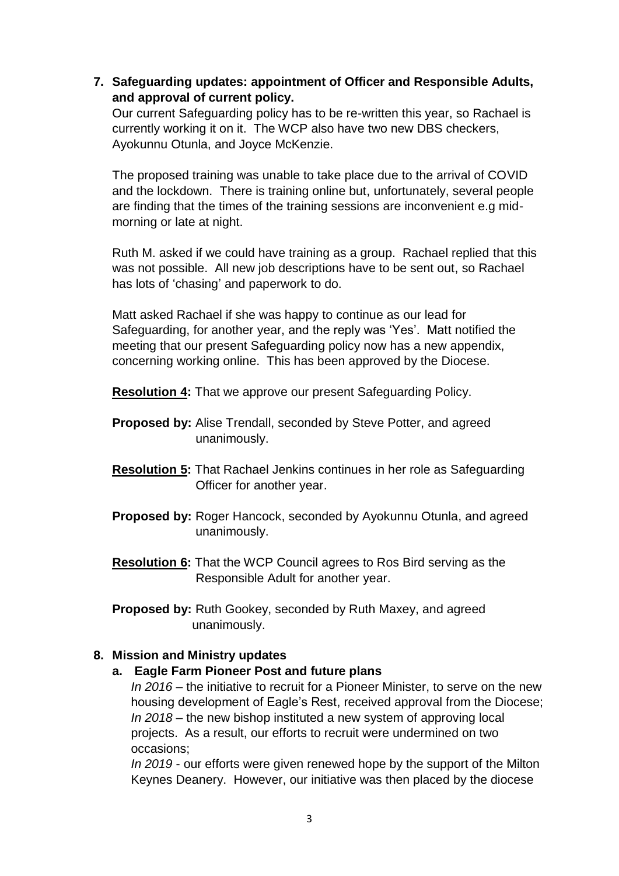**7. Safeguarding updates: appointment of Officer and Responsible Adults, and approval of current policy.**

Our current Safeguarding policy has to be re-written this year, so Rachael is currently working it on it. The WCP also have two new DBS checkers, Ayokunnu Otunla, and Joyce McKenzie.

The proposed training was unable to take place due to the arrival of COVID and the lockdown. There is training online but, unfortunately, several people are finding that the times of the training sessions are inconvenient e.g midmorning or late at night.

Ruth M. asked if we could have training as a group. Rachael replied that this was not possible. All new job descriptions have to be sent out, so Rachael has lots of 'chasing' and paperwork to do.

Matt asked Rachael if she was happy to continue as our lead for Safeguarding, for another year, and the reply was 'Yes'. Matt notified the meeting that our present Safeguarding policy now has a new appendix, concerning working online. This has been approved by the Diocese.

**Resolution 4:** That we approve our present Safeguarding Policy.

- **Proposed by:** Alise Trendall, seconded by Steve Potter, and agreed unanimously.
- **Resolution 5:** That Rachael Jenkins continues in her role as Safeguarding **Officer for another year.**
- **Proposed by:** Roger Hancock, seconded by Ayokunnu Otunla, and agreed unanimously.
- **Resolution 6:** That the WCP Council agrees to Ros Bird serving as the Responsible Adult for another year.
- **Proposed by:** Ruth Gookey, seconded by Ruth Maxey, and agreed unanimously.

# **8. Mission and Ministry updates**

#### **a. Eagle Farm Pioneer Post and future plans**

*In 2016* – the initiative to recruit for a Pioneer Minister, to serve on the new housing development of Eagle's Rest, received approval from the Diocese; *In 2018* – the new bishop instituted a new system of approving local projects. As a result, our efforts to recruit were undermined on two occasions;

*In 2019* - our efforts were given renewed hope by the support of the Milton Keynes Deanery. However, our initiative was then placed by the diocese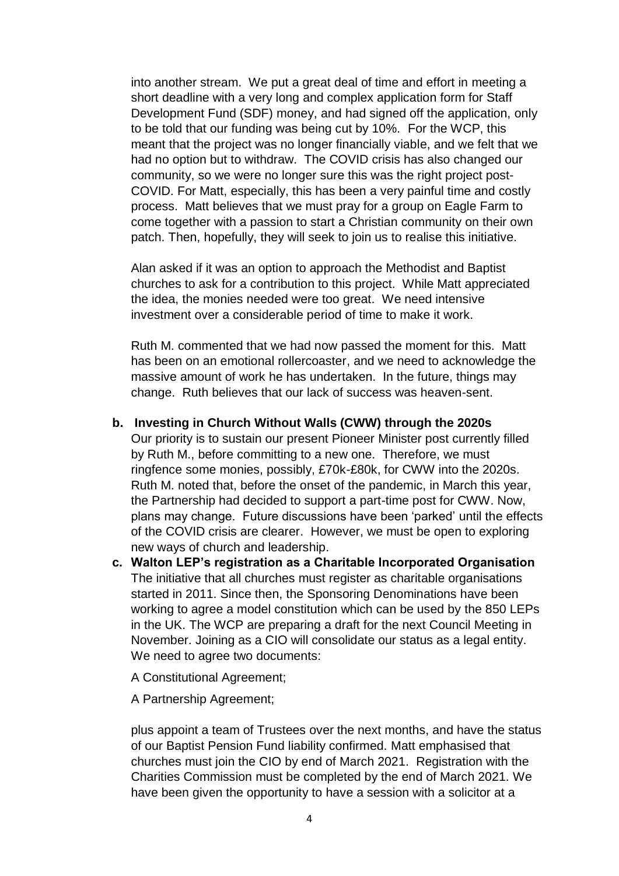into another stream. We put a great deal of time and effort in meeting a short deadline with a very long and complex application form for Staff Development Fund (SDF) money, and had signed off the application, only to be told that our funding was being cut by 10%. For the WCP, this meant that the project was no longer financially viable, and we felt that we had no option but to withdraw. The COVID crisis has also changed our community, so we were no longer sure this was the right project post-COVID. For Matt, especially, this has been a very painful time and costly process. Matt believes that we must pray for a group on Eagle Farm to come together with a passion to start a Christian community on their own patch. Then, hopefully, they will seek to join us to realise this initiative.

Alan asked if it was an option to approach the Methodist and Baptist churches to ask for a contribution to this project. While Matt appreciated the idea, the monies needed were too great. We need intensive investment over a considerable period of time to make it work.

Ruth M. commented that we had now passed the moment for this. Matt has been on an emotional rollercoaster, and we need to acknowledge the massive amount of work he has undertaken. In the future, things may change. Ruth believes that our lack of success was heaven-sent.

#### **b. Investing in Church Without Walls (CWW) through the 2020s**

Our priority is to sustain our present Pioneer Minister post currently filled by Ruth M., before committing to a new one. Therefore, we must ringfence some monies, possibly, £70k-£80k, for CWW into the 2020s. Ruth M. noted that, before the onset of the pandemic, in March this year, the Partnership had decided to support a part-time post for CWW. Now, plans may change. Future discussions have been 'parked' until the effects of the COVID crisis are clearer. However, we must be open to exploring new ways of church and leadership.

**c. Walton LEP's registration as a Charitable Incorporated Organisation** The initiative that all churches must register as charitable organisations started in 2011. Since then, the Sponsoring Denominations have been working to agree a model constitution which can be used by the 850 LEPs in the UK. The WCP are preparing a draft for the next Council Meeting in November. Joining as a CIO will consolidate our status as a legal entity. We need to agree two documents:

A Constitutional Agreement;

A Partnership Agreement;

plus appoint a team of Trustees over the next months, and have the status of our Baptist Pension Fund liability confirmed. Matt emphasised that churches must join the CIO by end of March 2021. Registration with the Charities Commission must be completed by the end of March 2021. We have been given the opportunity to have a session with a solicitor at a